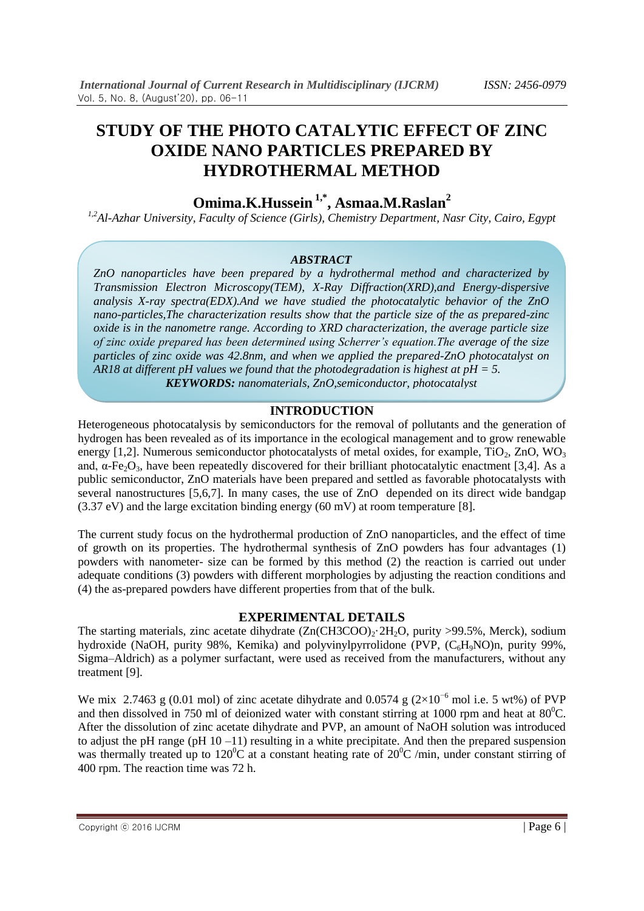# **STUDY OF THE PHOTO CATALYTIC EFFECT OF ZINC OXIDE NANO PARTICLES PREPARED BY HYDROTHERMAL METHOD**

**Omima.K.Hussein 1,\*, Asmaa.M.Raslan<sup>2</sup>**

*1,2Al-Azhar University, Faculty of Science (Girls), Chemistry Department, Nasr City, Cairo, Egypt*

#### *ABSTRACT*

*ZnO nanoparticles have been prepared by a hydrothermal method and characterized by Transmission Electron Microscopy(TEM), X-Ray Diffraction(XRD),and Energy-dispersive analysis X-ray spectra(EDX).And we have studied the photocatalytic behavior of the ZnO nano-particles,The characterization results show that the particle size of the as prepared-zinc oxide is in the nanometre range. According to XRD characterization, the average particle size of zinc oxide prepared has been determined using Scherrer's equation.The average of the size particles of zinc oxide was 42.8nm, and when we applied the prepared-ZnO photocatalyst on AR18 at different pH values we found that the photodegradation is highest at pH = 5. KEYWORDS: nanomaterials, ZnO,semiconductor, photocatalyst*

## **INTRODUCTION**

Heterogeneous photocatalysis by semiconductors for the removal of pollutants and the generation of hydrogen has been revealed as of its importance in the ecological management and to grow renewable energy [1,2]. Numerous semiconductor photocatalysts of metal oxides, for example,  $TiO<sub>2</sub>$ ,  $ZnO$ ,  $WO<sub>3</sub>$ and,  $\alpha$ -Fe<sub>2</sub>O<sub>3</sub>, have been repeatedly discovered for their brilliant photocatalytic enactment [3,4]. As a public semiconductor, ZnO materials have been prepared and settled as favorable photocatalysts with several nanostructures [5,6,7]. In many cases, the use of ZnO depended on its direct wide bandgap  $(3.37 \text{ eV})$  and the large excitation binding energy  $(60 \text{ mV})$  at room temperature [8].

The current study focus on the hydrothermal production of ZnO nanoparticles, and the effect of time of growth on its properties. The hydrothermal synthesis of ZnO powders has four advantages (1) powders with nanometer- size can be formed by this method (2) the reaction is carried out under adequate conditions (3) powders with different morphologies by adjusting the reaction conditions and (4) the as-prepared powders have different properties from that of the bulk.

## **EXPERIMENTAL DETAILS**

The starting materials, zinc acetate dihydrate  $(Zn(CH3COO)_2.2H_2O$ , purity >99.5%, Merck), sodium hydroxide (NaOH, purity 98%, Kemika) and polyvinylpyrrolidone (PVP,  $(C_6H_9NO)$ n, purity 99%, Sigma–Aldrich) as a polymer surfactant, were used as received from the manufacturers, without any treatment [9].

We mix 2.7463 g (0.01 mol) of zinc acetate dihydrate and 0.0574 g ( $2\times10^{-6}$  mol i.e. 5 wt%) of PVP and then dissolved in 750 ml of deionized water with constant stirring at 1000 rpm and heat at  $80^{\circ}$ C. After the dissolution of zinc acetate dihydrate and PVP, an amount of NaOH solution was introduced to adjust the pH range (pH  $10 - 11$ ) resulting in a white precipitate. And then the prepared suspension was thermally treated up to  $120^{\circ}$ C at a constant heating rate of  $20^{\circ}$ C /min, under constant stirring of 400 rpm. The reaction time was 72 h.

Copyright ⓒ 2016 IJCRM  $\vert$  Page 6  $\vert$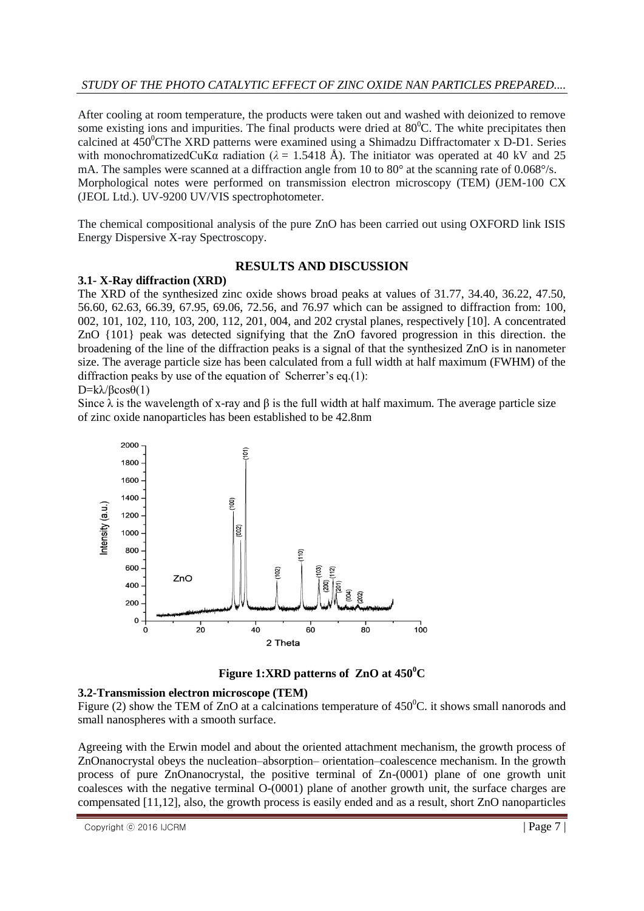After cooling at room temperature, the products were taken out and washed with deionized to remove some existing ions and impurities. The final products were dried at  $80^{\circ}$ C. The white precipitates then calcined at  $450^{\circ}$ CThe XRD patterns were examined using a Shimadzu Diffractomater x D-D1. Series with monochromatizedCuK $\alpha$  radiation ( $\lambda = 1.5418$  Å). The initiator was operated at 40 kV and 25 mA. The samples were scanned at a diffraction angle from 10 to  $80^{\circ}$  at the scanning rate of 0.068 $^{\circ}/s$ . Morphological notes were performed on transmission electron microscopy (TEM) (JEM-100 CX (JEOL Ltd.). UV-9200 UV/ $\overline{V}$ IS spectrophotometer.

The chemical compositional analysis of the pure ZnO has been carried out using OXFORD link ISIS Energy Dispersive X-ray Spectroscopy.

## **RESULTS AND DISCUSSION**

## **3.1- X-Ray diffraction (XRD)**

The XRD of the synthesized zinc oxide shows broad peaks at values of 31.77, 34.40, 36.22, 47.50, 56.60, 62.63, 66.39, 67.95, 69.06, 72.56, and 76.97 which can be assigned to diffraction from: 100, 002, 101, 102, 110, 103, 200, 112, 201, 004, and 202 crystal planes, respectively [10]. A concentrated ZnO {101} peak was detected signifying that the ZnO favored progression in this direction. the broadening of the line of the diffraction peaks is a signal of that the synthesized ZnO is in nanometer size. The average particle size has been calculated from a full width at half maximum (FWHM) of the diffraction peaks by use of the equation of Scherrer's eq.(1):

## $D=k\lambda/\beta\cos\theta(1)$

Since  $\lambda$  is the wavelength of x-ray and  $\beta$  is the full width at half maximum. The average particle size of zinc oxide nanoparticles has been established to be 42.8nm



**Figure 1:XRD patterns of ZnO at 450<sup>0</sup>C**

## **3.2-Transmission electron microscope (TEM)**

Figure (2) show the TEM of ZnO at a calcinations temperature of  $450^{\circ}$ C. it shows small nanorods and small nanospheres with a smooth surface.

Agreeing with the Erwin model and about the oriented attachment mechanism, the growth process of ZnOnanocrystal obeys the nucleation–absorption– orientation–coalescence mechanism. In the growth process of pure ZnOnanocrystal, the positive terminal of Zn-(0001) plane of one growth unit coalesces with the negative terminal O-(0001) plane of another growth unit, the surface charges are compensated [11,12], also, the growth process is easily ended and as a result, short ZnO nanoparticles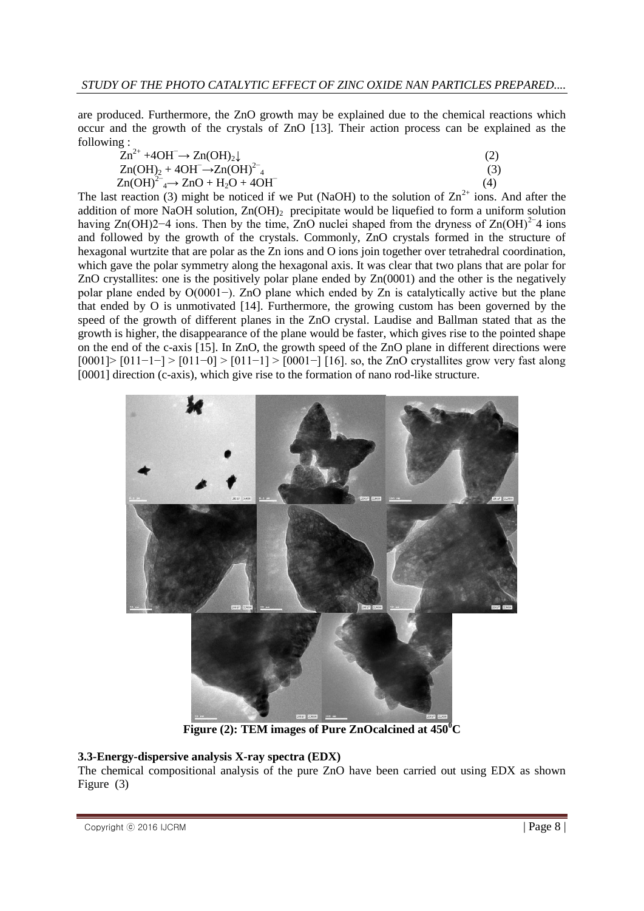are produced. Furthermore, the ZnO growth may be explained due to the chemical reactions which occur and the growth of the crystals of ZnO [13]. Their action process can be explained as the following :

| $Zn^{2+} + 4OH^- \rightarrow Zn(OH)_2 \downarrow$ |     |
|---------------------------------------------------|-----|
| $Zn(OH)2 + 4OH^- \rightarrow Zn(OH)24$            | (3) |

 $Zn(OH)^{2-} \rightarrow ZnO + H_2O + 4OH^ (4)$ The last reaction (3) might be noticed if we Put (NaOH) to the solution of  $\text{Zn}^{2+}$  ions. And after the addition of more NaOH solution,  $Zn(OH)$ <sub>2</sub> precipitate would be liquefied to form a uniform solution having Zn(OH)2−4 ions. Then by the time, ZnO nuclei shaped from the dryness of Zn(OH)<sup>2−4</sup> ions and followed by the growth of the crystals. Commonly, ZnO crystals formed in the structure of hexagonal wurtzite that are polar as the Zn ions and O ions join together over tetrahedral coordination, which gave the polar symmetry along the hexagonal axis. It was clear that two plans that are polar for ZnO crystallites: one is the positively polar plane ended by Zn(0001) and the other is the negatively polar plane ended by O(0001−). ZnO plane which ended by Zn is catalytically active but the plane that ended by O is unmotivated [14]. Furthermore, the growing custom has been governed by the speed of the growth of different planes in the ZnO crystal. Laudise and Ballman stated that as the growth is higher, the disappearance of the plane would be faster, which gives rise to the pointed shape on the end of the c-axis [15]. In ZnO, the growth speed of the ZnO plane in different directions were  $[0001]$  >  $[011-1-$ ] >  $[011-0]$  >  $[011-1]$  >  $[0001-$ ]  $[16]$ . so, the ZnO crystallites grow very fast along [0001] direction (c-axis), which give rise to the formation of nano rod-like structure.



**Figure (2): TEM images of Pure ZnOcalcined at 450<sup>0</sup>C**

## **3.3-Energy-dispersive analysis X-ray spectra (EDX)**

The chemical compositional analysis of the pure ZnO have been carried out using EDX as shown Figure (3)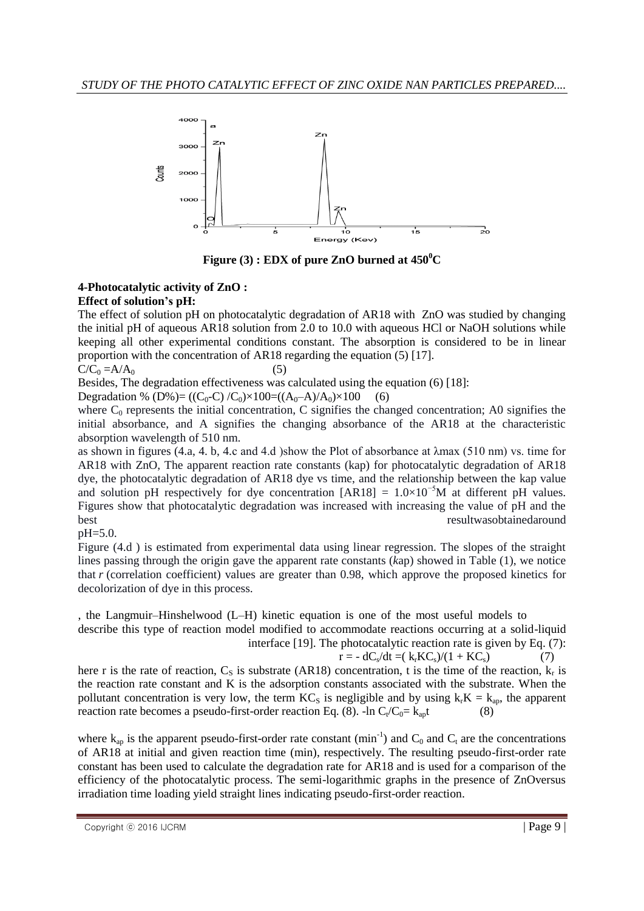

**Figure** (3) **: EDX** of pure ZnO burned at  $450^{\circ}$ C

### **4-Photocatalytic activity of ZnO : Effect of solution's pH:**

The effect of solution pH on photocatalytic degradation of AR18 with ZnO was studied by changing the initial pH of aqueous AR18 solution from 2.0 to 10.0 with aqueous HCl or NaOH solutions while keeping all other experimental conditions constant. The absorption is considered to be in linear proportion with the concentration of AR18 regarding the equation (5) [17].

#### $C/C_0 = A/A_0$  (5)

Besides, The degradation effectiveness was calculated using the equation (6) [18]:

Degradation % (D%)= ((C<sub>0</sub>-C) /C<sub>0</sub>)×100=((A<sub>0</sub>-A)/A<sub>0</sub>)×100 (6)

where  $C_0$  represents the initial concentration, C signifies the changed concentration; A0 signifies the initial absorbance, and A signifies the changing absorbance of the AR18 at the characteristic absorption wavelength of 510 nm.

as shown in figures (4.a, 4. b, 4.c and 4.d )show the Plot of absorbance at  $\lambda$ max (510 nm) vs. time for AR18 with ZnO, The apparent reaction rate constants (kap) for photocatalytic degradation of AR18 dye, the photocatalytic degradation of AR18 dye vs time, and the relationship between the kap value and solution pH respectively for dye concentration  $[AR18] = 1.0 \times 10^{-5}$ M at different pH values. Figures show that photocatalytic degradation was increased with increasing the value of pH and the best resultwasobtainedaround

#### pH=5.0.

Figure (4.d ) is estimated from experimental data using linear regression. The slopes of the straight lines passing through the origin gave the apparent rate constants (*k*ap) showed in Table (1), we notice that *r* (correlation coefficient) values are greater than 0.98, which approve the proposed kinetics for decolorization of dye in this process.

, the Langmuir–Hinshelwood (L–H) kinetic equation is one of the most useful models to describe this type of reaction model modified to accommodate reactions occurring at a solid-liquid interface [19]. The photocatalytic reaction rate is given by Eq. (7):

$$
r = - dC_s/dt = (k_r K C_s)/(1 + K C_s)
$$
 (7)

here r is the rate of reaction,  $C_s$  is substrate (AR18) concentration, t is the time of the reaction,  $k_r$  is the reaction rate constant and K is the adsorption constants associated with the substrate. When the pollutant concentration is very low, the term  $KC_s$  is negligible and by using  $k_rK = k_{ap}$ , the apparent reaction rate becomes a pseudo-first-order reaction Eq. (8).  $-\ln C_t/C_0 = k_{ap}t$  (8)

where  $k_{ap}$  is the apparent pseudo-first-order rate constant (min<sup>-1</sup>) and  $C_0$  and  $C_t$  are the concentrations of AR18 at initial and given reaction time (min), respectively. The resulting pseudo-first-order rate constant has been used to calculate the degradation rate for AR18 and is used for a comparison of the efficiency of the photocatalytic process. The semi-logarithmic graphs in the presence of ZnOversus irradiation time loading yield straight lines indicating pseudo-first-order reaction.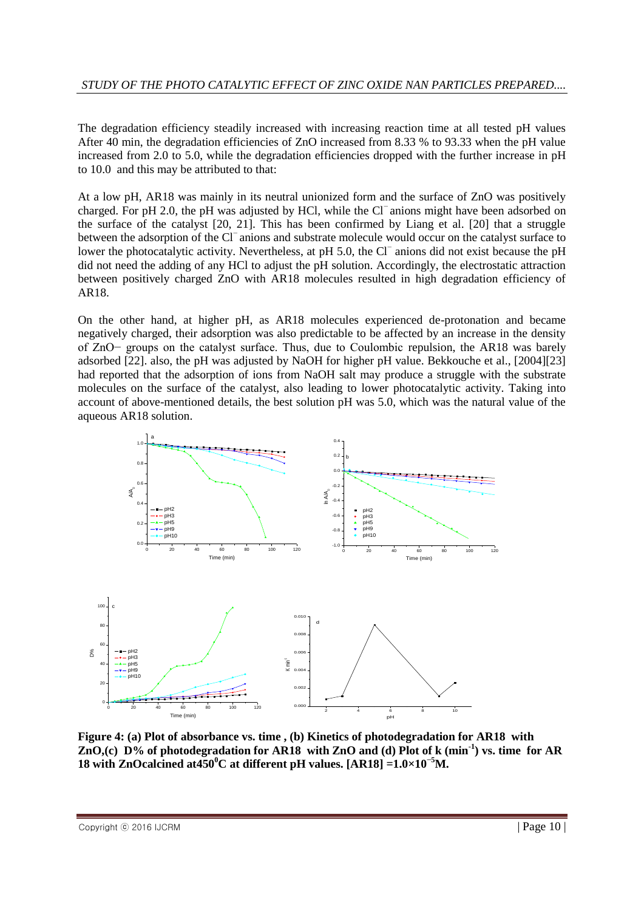The degradation efficiency steadily increased with increasing reaction time at all tested pH values After 40 min, the degradation efficiencies of ZnO increased from 8.33 % to 93.33 when the pH value increased from 2.0 to 5.0, while the degradation efficiencies dropped with the further increase in pH to 10.0 and this may be attributed to that:

At a low pH, AR18 was mainly in its neutral unionized form and the surface of ZnO was positively charged. For pH 2.0, the pH was adjusted by HCl, while the Cl<sup>−</sup> anions might have been adsorbed on the surface of the catalyst [20, 21]. This has been confirmed by Liang et al. [20] that a struggle between the adsorption of the Cl<sup>−</sup>anions and substrate molecule would occur on the catalyst surface to lower the photocatalytic activity. Nevertheless, at pH 5.0, the Cl<sup>−</sup> anions did not exist because the pH did not need the adding of any HCl to adjust the pH solution. Accordingly, the electrostatic attraction between positively charged ZnO with AR18 molecules resulted in high degradation efficiency of AR18.

On the other hand, at higher pH, as AR18 molecules experienced de-protonation and became negatively charged, their adsorption was also predictable to be affected by an increase in the density of ZnO− groups on the catalyst surface. Thus, due to Coulombic repulsion, the AR18 was barely adsorbed [22]. also, the pH was adjusted by NaOH for higher pH value. Bekkouche et al., [2004][23] had reported that the adsorption of ions from NaOH salt may produce a struggle with the substrate molecules on the surface of the catalyst, also leading to lower photocatalytic activity. Taking into account of above-mentioned details, the best solution pH was 5.0, which was the natural value of the aqueous AR18 solution.



**Figure 4: (a) Plot of absorbance vs. time , (b) Kinetics of photodegradation for AR18 with ZnO,(c) D% of photodegradation for AR18 with ZnO and (d) Plot of k (min-1 ) vs. time for AR 18 with ZnOcalcined at450<sup>°</sup>C at different pH values. [AR18] =** $1.0 \times 10^{-5}$ **M.**